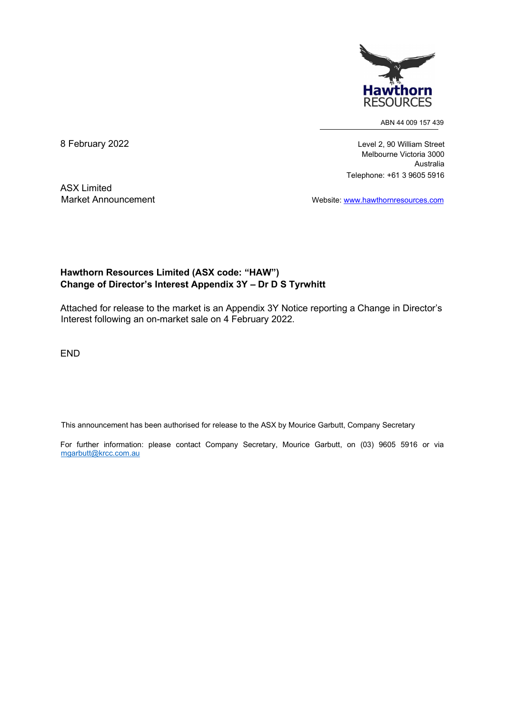

ABN 44 009 157 439

8 February 2022 **Level 2, 90 William Street**  Melbourne Victoria 3000 Australia Telephone: +61 3 9605 5916

ASX Limited

Market Announcement Website: www.hawthornresources.com

## Hawthorn Resources Limited (ASX code: "HAW") Change of Director's Interest Appendix 3Y – Dr D S Tyrwhitt

Attached for release to the market is an Appendix 3Y Notice reporting a Change in Director's Interest following an on-market sale on 4 February 2022.

END

This announcement has been authorised for release to the ASX by Mourice Garbutt, Company Secretary

For further information: please contact Company Secretary, Mourice Garbutt, on (03) 9605 5916 or via mgarbutt@krcc.com.au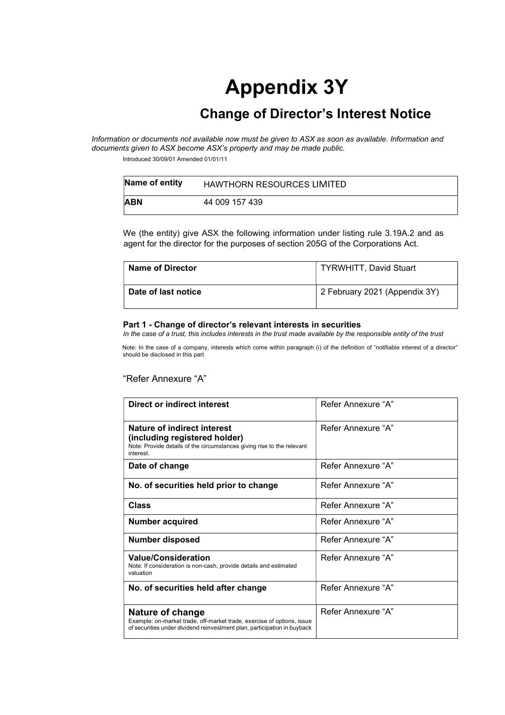# Appendix 3Y

## Change of Director's Interest Notice

Information or documents not available now must be given to ASX as soon as available. Information and documents given to ASX become ASX's property and may be made public.

Introduced 30/09/01 Amended 01/01/11

| Name of entity | <b>HAWTHORN RESOURCES LIMITED</b> |
|----------------|-----------------------------------|
| <b>ABN</b>     | 44 009 157 439                    |

We (the entity) give ASX the following information under listing rule 3.19A.2 and as agent for the director for the purposes of section 205G of the Corporations Act.

| Name of Director    | <b>TYRWHITT, David Stuart</b> |  |
|---------------------|-------------------------------|--|
| Date of last notice | 2 February 2021 (Appendix 3Y) |  |

#### Part 1 - Change of director's relevant interests in securities

In the case of a trust, this includes interests in the trust made available by the responsible entity of the trust

Note: In the case of a company, interests which come within paragraph (i) of the definition of "notifiable interest of a director" should be disclosed in this part

#### "Refer Annexure "A"

| Direct or indirect interest                                                                                                                                            | Refer Annexure "A" |
|------------------------------------------------------------------------------------------------------------------------------------------------------------------------|--------------------|
| Nature of indirect interest<br>(including registered holder)<br>Note: Provide details of the circumstances giving rise to the relevant<br>interest.                    | Refer Annexure "A" |
| Date of change                                                                                                                                                         | Refer Annexure "A" |
| No. of securities held prior to change                                                                                                                                 | Refer Annexure "A" |
| <b>Class</b>                                                                                                                                                           | Refer Annexure "A" |
| <b>Number acquired</b>                                                                                                                                                 | Refer Annexure "A" |
| <b>Number disposed</b>                                                                                                                                                 | Refer Annexure "A" |
| <b>Value/Consideration</b><br>Note: If consideration is non-cash, provide details and estimated<br>valuation                                                           | Refer Annexure "A" |
| No. of securities held after change                                                                                                                                    | Refer Annexure "A" |
| Nature of change<br>Example: on-market trade, off-market trade, exercise of options, issue<br>of securities under dividend reinvestment plan, participation in buyback | Refer Annexure "A" |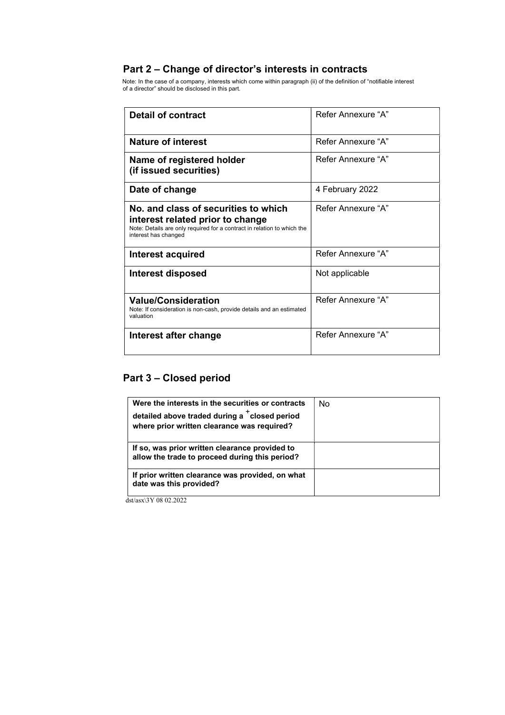## Part 2 – Change of director's interests in contracts

Note: In the case of a company, interests which come within paragraph (ii) of the definition of "notifiable interest of a director" should be disclosed in this part.

| <b>Detail of contract</b>                                                                                                                                                   | Refer Annexure "A" |  |
|-----------------------------------------------------------------------------------------------------------------------------------------------------------------------------|--------------------|--|
| <b>Nature of interest</b>                                                                                                                                                   | Refer Annexure "A" |  |
| Name of registered holder<br>(if issued securities)                                                                                                                         | Refer Annexure "A" |  |
| Date of change                                                                                                                                                              | 4 February 2022    |  |
| No. and class of securities to which<br>interest related prior to change<br>Note: Details are only required for a contract in relation to which the<br>interest has changed | Refer Annexure "A" |  |
| Interest acquired                                                                                                                                                           | Refer Annexure "A" |  |
| <b>Interest disposed</b>                                                                                                                                                    | Not applicable     |  |
| <b>Value/Consideration</b><br>Note: If consideration is non-cash, provide details and an estimated<br>valuation                                                             | Refer Annexure "A" |  |
| Interest after change                                                                                                                                                       | Refer Annexure "A" |  |

## Part 3 – Closed period

| Were the interests in the securities or contracts<br>detailed above traded during a tolosed period<br>where prior written clearance was required? | No |
|---------------------------------------------------------------------------------------------------------------------------------------------------|----|
| If so, was prior written clearance provided to<br>allow the trade to proceed during this period?                                                  |    |
| If prior written clearance was provided, on what<br>date was this provided?                                                                       |    |

dst/asx\3Y 08 02.2022